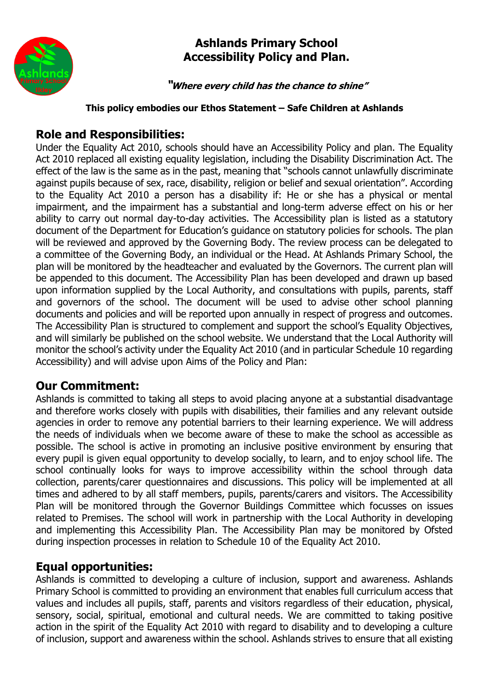

## **Ashlands Primary School Accessibility Policy and Plan.**

**"Where every child has the chance to shine"**

#### **This policy embodies our Ethos Statement – Safe Children at Ashlands**

## **Role and Responsibilities:**

Under the Equality Act 2010, schools should have an Accessibility Policy and plan. The Equality Act 2010 replaced all existing equality legislation, including the Disability Discrimination Act. The effect of the law is the same as in the past, meaning that "schools cannot unlawfully discriminate against pupils because of sex, race, disability, religion or belief and sexual orientation". According to the Equality Act 2010 a person has a disability if: He or she has a physical or mental impairment, and the impairment has a substantial and long-term adverse effect on his or her ability to carry out normal day-to-day activities. The Accessibility plan is listed as a statutory document of the Department for Education's guidance on statutory policies for schools. The plan will be reviewed and approved by the Governing Body. The review process can be delegated to a committee of the Governing Body, an individual or the Head. At Ashlands Primary School, the plan will be monitored by the headteacher and evaluated by the Governors. The current plan will be appended to this document. The Accessibility Plan has been developed and drawn up based upon information supplied by the Local Authority, and consultations with pupils, parents, staff and governors of the school. The document will be used to advise other school planning documents and policies and will be reported upon annually in respect of progress and outcomes. The Accessibility Plan is structured to complement and support the school's Equality Objectives, and will similarly be published on the school website. We understand that the Local Authority will monitor the school's activity under the Equality Act 2010 (and in particular Schedule 10 regarding Accessibility) and will advise upon Aims of the Policy and Plan:

### **Our Commitment:**

Ashlands is committed to taking all steps to avoid placing anyone at a substantial disadvantage and therefore works closely with pupils with disabilities, their families and any relevant outside agencies in order to remove any potential barriers to their learning experience. We will address the needs of individuals when we become aware of these to make the school as accessible as possible. The school is active in promoting an inclusive positive environment by ensuring that every pupil is given equal opportunity to develop socially, to learn, and to enjoy school life. The school continually looks for ways to improve accessibility within the school through data collection, parents/carer questionnaires and discussions. This policy will be implemented at all times and adhered to by all staff members, pupils, parents/carers and visitors. The Accessibility Plan will be monitored through the Governor Buildings Committee which focusses on issues related to Premises. The school will work in partnership with the Local Authority in developing and implementing this Accessibility Plan. The Accessibility Plan may be monitored by Ofsted during inspection processes in relation to Schedule 10 of the Equality Act 2010.

### **Equal opportunities:**

Ashlands is committed to developing a culture of inclusion, support and awareness. Ashlands Primary School is committed to providing an environment that enables full curriculum access that values and includes all pupils, staff, parents and visitors regardless of their education, physical, sensory, social, spiritual, emotional and cultural needs. We are committed to taking positive action in the spirit of the Equality Act 2010 with regard to disability and to developing a culture of inclusion, support and awareness within the school. Ashlands strives to ensure that all existing